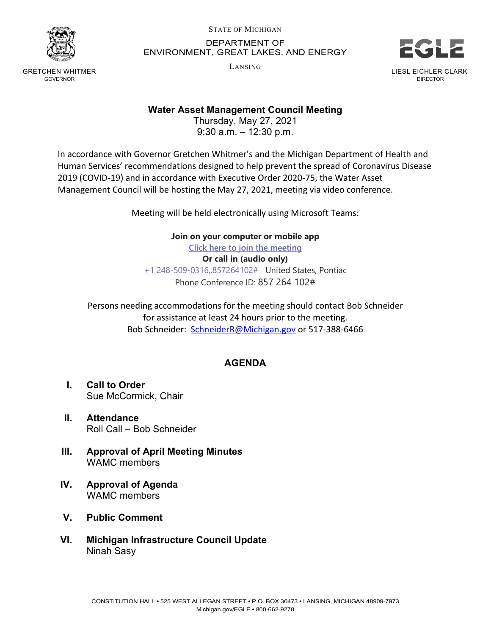

GRETCHEN WHITMER GOVERNOR

STATE OF MICHIGAN DEPARTMENT OF ENVIRONMENT, GREAT LAKES, AND ENERGY

LANSING



## **Water Asset Management Council Meeting**

Thursday, May 27, 2021 9:30 a.m. – 12:30 p.m.

In accordance with Governor Gretchen Whitmer's and the Michigan Department of Health and Human Services' recommendations designed to help prevent the spread of Coronavirus Disease 2019 (COVID-19) and in accordance with Executive Order 2020-75, the Water Asset Management Council will be hosting the May 27, 2021, meeting via video conference.

Meeting will be held electronically using Microsoft Teams:

**Join on your computer or mobile app**

**[Click here to join the meeting](https://teams.microsoft.com/l/meetup-join/19%3ameeting_Zjk2NTJjYTgtODI5Ni00YTg0LThjZDEtYzM3M2Q2YWVhZGJm%40thread.v2/0?context=%7b%22Tid%22%3a%22d5fb7087-3777-42ad-966a-892ef47225d1%22%2c%22Oid%22%3a%2216f2c2b8-1c1d-41c3-a65e-eb4dcd9b8051%22%7d) Or call in (audio only)**

[+1 248-509-0316,,857264102#](tel:+12485090316,,857264102#%20) United States, Pontiac Phone Conference ID: 857 264 102#

Persons needing accommodations for the meeting should contact Bob Schneider for assistance at least 24 hours prior to the meeting. Bob Schneider: [SchneiderR@Michigan.gov](mailto:SchneiderR@Michigan.gov) or 517-388-6466

## **AGENDA**

- **I. Call to Order** Sue McCormick, Chair
- **II. Attendance** Roll Call – Bob Schneider
- **III. Approval of April Meeting Minutes** WAMC members
- **IV. Approval of Agenda** WAMC members
- **V. Public Comment**
- **VI. Michigan Infrastructure Council Update** Ninah Sasy